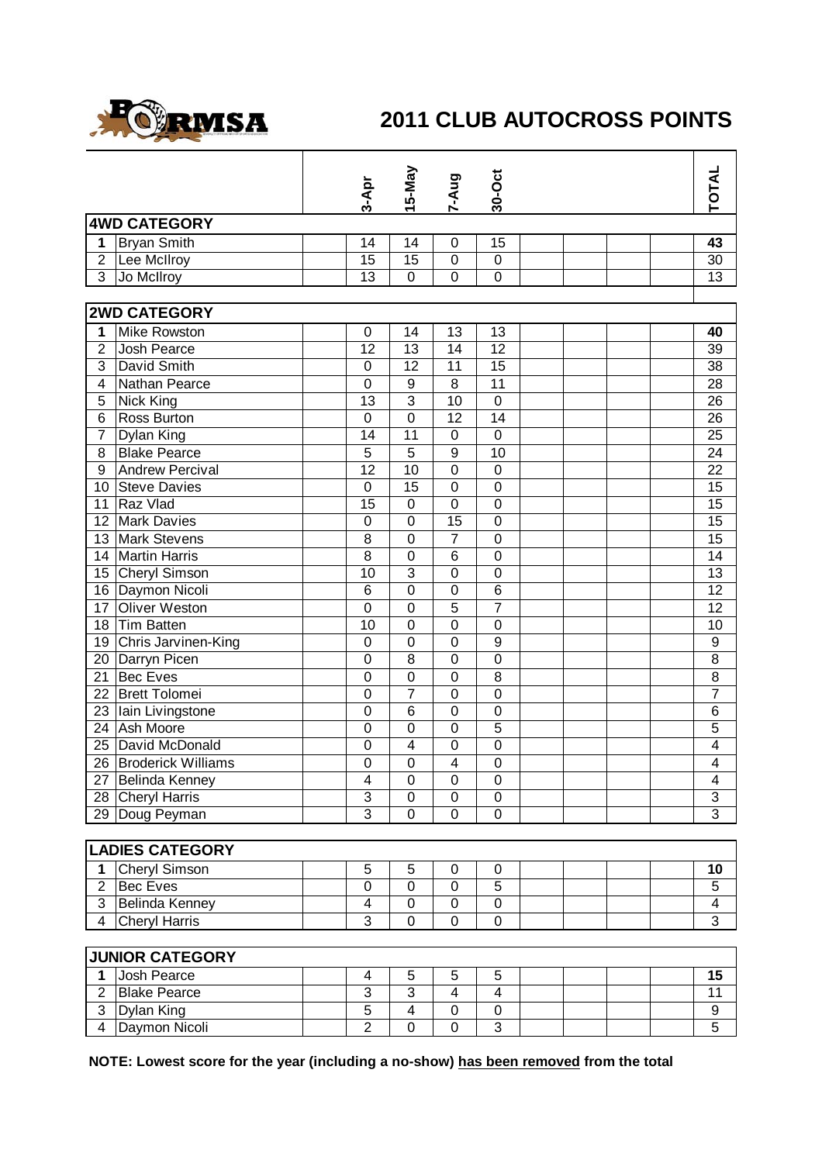

## **2011 CLUB AUTOCROSS POINTS**

|                                  |                           |  | 3-Apr            | 15-May                  | <b>Bny-Z</b>     | 30-Oct                  |  |  | TOTAL                   |  |
|----------------------------------|---------------------------|--|------------------|-------------------------|------------------|-------------------------|--|--|-------------------------|--|
|                                  |                           |  |                  |                         |                  |                         |  |  |                         |  |
|                                  | <b>4WD CATEGORY</b>       |  |                  |                         |                  |                         |  |  |                         |  |
| 1                                | <b>Bryan Smith</b>        |  | 14               | 14                      | $\mathbf 0$      | 15                      |  |  | 43                      |  |
| $\overline{2}$<br>$\overline{3}$ | Lee McIlroy               |  | 15               | 15                      | $\mathbf 0$      | $\mathbf 0$             |  |  | 30                      |  |
|                                  | Jo McIlroy                |  | 13               | $\mathbf 0$             | $\overline{0}$   | $\overline{0}$          |  |  | 13                      |  |
|                                  | <b>2WD CATEGORY</b>       |  |                  |                         |                  |                         |  |  |                         |  |
| $\mathbf{1}$                     | <b>Mike Rowston</b>       |  | $\mathbf 0$      | 14                      | 13               | 13                      |  |  | 40                      |  |
| $\overline{2}$                   | Josh Pearce               |  | 12               | 13                      | 14               | 12                      |  |  | 39                      |  |
| 3                                | David Smith               |  | $\mathbf 0$      | $\overline{12}$         | 11               | 15                      |  |  | 38                      |  |
| $\overline{\mathbf{4}}$          | Nathan Pearce             |  | $\overline{0}$   | $\overline{9}$          | 8                | 11                      |  |  | 28                      |  |
| 5                                | <b>Nick King</b>          |  | 13               | $\overline{3}$          | 10               | $\mathbf 0$             |  |  | 26                      |  |
| 6                                | Ross Burton               |  | $\mathbf 0$      | $\overline{0}$          | 12               | 14                      |  |  | 26                      |  |
| $\overline{7}$                   | Dylan King                |  | 14               | 11                      | $\boldsymbol{0}$ | $\overline{0}$          |  |  | 25                      |  |
| 8                                | <b>Blake Pearce</b>       |  | $\overline{5}$   | $\overline{5}$          | $\boldsymbol{9}$ | 10                      |  |  | 24                      |  |
| 9                                | <b>Andrew Percival</b>    |  | 12               | 10                      | $\boldsymbol{0}$ | $\mathbf 0$             |  |  | 22                      |  |
| 10                               | <b>Steve Davies</b>       |  | $\mathbf 0$      | 15                      | $\pmb{0}$        | $\mathbf 0$             |  |  | 15                      |  |
| 11                               | Raz Vlad                  |  | 15               | $\mathbf 0$             | $\mathbf 0$      | $\mathbf 0$             |  |  | $\overline{15}$         |  |
| 12                               | <b>Mark Davies</b>        |  | $\boldsymbol{0}$ | 0                       | 15               | $\mathbf 0$             |  |  | 15                      |  |
| 13                               | <b>Mark Stevens</b>       |  | 8                | 0                       | $\overline{7}$   | $\mathbf 0$             |  |  | 15                      |  |
|                                  | 14 Martin Harris          |  | 8                | 0                       | 6                | $\mathbf 0$             |  |  | 14                      |  |
|                                  | 15 Cheryl Simson          |  | 10               | $\overline{3}$          | $\mathbf 0$      | $\mathbf 0$             |  |  | $\overline{13}$         |  |
|                                  | 16 Daymon Nicoli          |  | $6\phantom{1}$   | $\overline{0}$          | $\mathbf 0$      | $6\phantom{1}6$         |  |  | 12                      |  |
| 17                               | <b>Oliver Weston</b>      |  | $\overline{0}$   | $\mathbf 0$             | 5                | $\overline{7}$          |  |  | 12                      |  |
| 18                               | Tim Batten                |  | 10               | 0                       | $\mathbf 0$      | $\mathbf 0$             |  |  | 10                      |  |
| 19                               | Chris Jarvinen-King       |  | $\mathbf 0$      | $\overline{0}$          | $\mathbf 0$      | 9                       |  |  | $\boldsymbol{9}$        |  |
|                                  | 20 Darryn Picen           |  | $\mathbf 0$      | 8                       | $\mathbf 0$      | $\mathbf 0$             |  |  | $\overline{8}$          |  |
| 21                               | <b>Bec Eves</b>           |  | $\mathbf 0$      | $\overline{0}$          | $\boldsymbol{0}$ | 8                       |  |  | $\overline{8}$          |  |
| 22                               | <b>Brett Tolomei</b>      |  | $\boldsymbol{0}$ | 7                       | $\mathbf 0$      | $\mathbf 0$             |  |  | $\overline{7}$          |  |
|                                  | 23 Iain Livingstone       |  | $\mathbf 0$      | 6                       | $\mathbf 0$      | $\mathbf 0$             |  |  | 6                       |  |
| 24                               | Ash Moore                 |  | 0                | 0                       | $\boldsymbol{0}$ | 5                       |  |  | 5                       |  |
| 25                               | David McDonald            |  | 0                | 4                       | $\mathbf 0$      | $\mathbf 0$             |  |  | 4                       |  |
| 26                               | <b>Broderick Williams</b> |  | 0                | 0                       | $\overline{4}$   | $\mathbf 0$             |  |  | 4                       |  |
|                                  | 27 Belinda Kenney         |  | 4                | 0                       | $\pmb{0}$        | $\pmb{0}$               |  |  | 4                       |  |
|                                  | 28 Cheryl Harris          |  | $\overline{3}$   | $\mathbf 0$             | $\mathbf 0$      | $\mathbf 0$             |  |  | 3                       |  |
|                                  | 29 Doug Peyman            |  | $\overline{3}$   | $\overline{0}$          | $\mathbf 0$      | $\mathbf 0$             |  |  | $\overline{3}$          |  |
|                                  |                           |  |                  |                         |                  |                         |  |  |                         |  |
|                                  | <b>LADIES CATEGORY</b>    |  |                  |                         |                  |                         |  |  |                         |  |
| $\mathbf{1}$                     | Cheryl Simson             |  | 5                | 5                       | 0                | 0                       |  |  | 10                      |  |
| $\overline{2}$                   | <b>Bec Eves</b>           |  | 0                | 0                       | 0                | 5                       |  |  | 5                       |  |
| 3                                | <b>Belinda Kenney</b>     |  | 4                | 0                       | $\mathbf 0$      | $\boldsymbol{0}$        |  |  | $\overline{\mathbf{4}}$ |  |
| $\overline{4}$                   | <b>Cheryl Harris</b>      |  | 3                | $\mathbf 0$             | $\mathbf 0$      | $\mathbf 0$             |  |  | 3                       |  |
|                                  |                           |  |                  |                         |                  |                         |  |  |                         |  |
| <b>JUNIOR CATEGORY</b>           |                           |  |                  |                         |                  |                         |  |  |                         |  |
| 1                                | Josh Pearce               |  | 4                | 5                       | 5                | 5                       |  |  | 15                      |  |
| $\overline{2}$                   | <b>Blake Pearce</b>       |  | 3                | 3                       | $\overline{4}$   | $\overline{\mathbf{4}}$ |  |  | 11                      |  |
| $\mathbf{3}$                     | <b>Dylan King</b>         |  | 5                | $\overline{\mathbf{4}}$ | $\pmb{0}$        | $\mathbf 0$             |  |  | 9                       |  |

**NOTE: Lowest score for the year (including a no-show) has been removed from the total**

4 Daymon Nicoli 2 0 0 3 5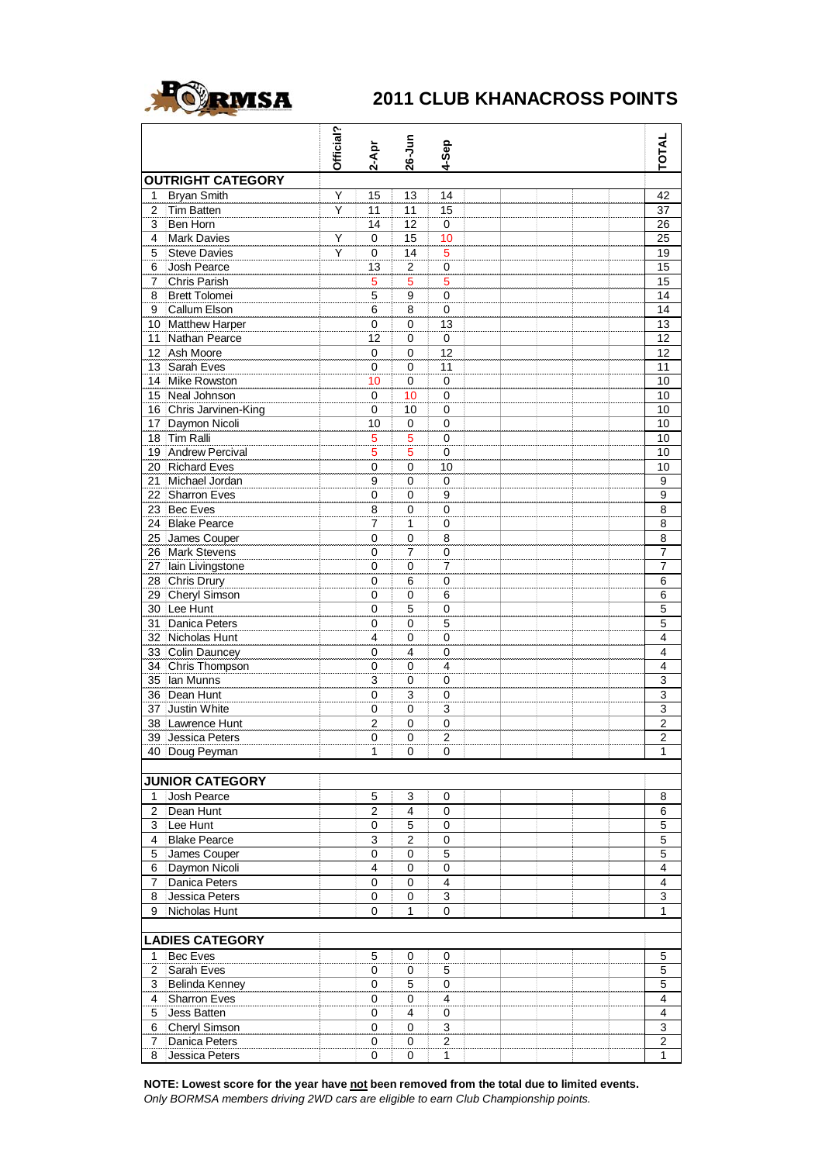

## **2011 CLUB KHANACROSS POINTS**

|                        |                                      | Official? | $2 - Apr$      | 26-Jun                  | 4-Sep                   |  |  |  |  |  | <b>TOTAL</b>            |
|------------------------|--------------------------------------|-----------|----------------|-------------------------|-------------------------|--|--|--|--|--|-------------------------|
|                        | <b>OUTRIGHT CATEGORY</b>             |           |                |                         |                         |  |  |  |  |  |                         |
| 1                      | <b>Bryan Smith</b>                   | Ÿ         | 15             | 13                      | 14                      |  |  |  |  |  | 42                      |
| 2                      | <b>Tim Batten</b>                    | Υ         | 11             | 11                      | 15                      |  |  |  |  |  | 37                      |
| 3                      | Ben Horn                             |           | 14             | 12                      | 0                       |  |  |  |  |  | 26                      |
| 4                      | <b>Mark Davies</b>                   | Y         | 0              | 15                      | 10                      |  |  |  |  |  | 25                      |
| 5                      | <b>Steve Davies</b>                  | Y         | 0              | 14                      | 5                       |  |  |  |  |  | 19                      |
| 6                      | Josh Pearce                          |           | 13             | $\overline{\mathbf{c}}$ | $\pmb{0}$               |  |  |  |  |  | 15                      |
| 7                      | Chris Parish                         |           | 5              | 5<br>9                  | 5                       |  |  |  |  |  | 15<br>14                |
| 8<br>9                 | <b>Brett Tolomei</b><br>Callum Elson |           | 5<br>6         | 8                       | 0<br>0                  |  |  |  |  |  | 14                      |
|                        | 10 Matthew Harper                    |           | 0              | 0                       | 13                      |  |  |  |  |  | 13                      |
| 11                     | Nathan Pearce                        |           | 12             | 0                       | $\overline{0}$          |  |  |  |  |  | 12                      |
| 12                     | Ash Moore                            |           | 0              | 0                       | 12                      |  |  |  |  |  | 12                      |
| 13                     | Sarah Eves                           |           | 0              | 0                       | 11                      |  |  |  |  |  | 11                      |
|                        | 14 Mike Rowston                      |           | 10             | 0                       | 0                       |  |  |  |  |  | 10                      |
|                        | 15 Neal Johnson                      |           | 0              | 10                      | 0                       |  |  |  |  |  | 10                      |
|                        | 16 Chris Jarvinen-King               |           | 0              | 10                      | $\mathbf 0$             |  |  |  |  |  | 10                      |
|                        | 17 Daymon Nicoli                     |           | 10             | 0                       | 0                       |  |  |  |  |  | 10                      |
| 18                     | <b>Tim Ralli</b>                     |           | 5              | 5                       | 0                       |  |  |  |  |  | 10                      |
|                        | 19 Andrew Percival                   |           | 5              | 5                       | 0                       |  |  |  |  |  | 10                      |
|                        | 20 Richard Eves                      |           | 0              | 0                       | 10                      |  |  |  |  |  | 10                      |
| 21                     | Michael Jordan                       |           | 9              | 0                       | $\mathbf 0$             |  |  |  |  |  | 9                       |
|                        | 22 Sharron Eves                      |           | $\mathbf 0$    | 0                       | 9                       |  |  |  |  |  | $\overline{9}$          |
|                        | 23 Bec Eves                          |           | 8              | 0                       | 0                       |  |  |  |  |  | 8                       |
|                        | 24 Blake Pearce                      |           | 7              | 1                       | 0                       |  |  |  |  |  | 8                       |
|                        | 25 James Couper                      |           | $\overline{0}$ | 0                       | 8                       |  |  |  |  |  | $\overline{8}$          |
|                        | 26 Mark Stevens                      |           | $\mathsf 0$    | $\overline{7}$          | $\pmb{0}$               |  |  |  |  |  | 7                       |
| 27                     | lain Livingstone                     |           | 0              | 0                       | 7                       |  |  |  |  |  | 7                       |
|                        | 28 Chris Drury                       |           | 0              | 6                       | 0                       |  |  |  |  |  | 6                       |
| 29                     | <b>Cheryl Simson</b>                 |           | $\mathbf 0$    | 0                       | 6                       |  |  |  |  |  | $\overline{6}$          |
|                        | 30 Lee Hunt                          |           | 0              | 5                       | $\mathbf 0$             |  |  |  |  |  | $\overline{5}$          |
|                        | 31 Danica Peters                     |           | 0              | 0                       | 5                       |  |  |  |  |  | 5                       |
|                        | 32 Nicholas Hunt                     |           | 4              | 0                       | 0                       |  |  |  |  |  | 4                       |
|                        | 33 Colin Dauncey                     |           | 0              | 4                       | 0                       |  |  |  |  |  | $\overline{4}$          |
|                        | 34 Chris Thompson                    |           | 0              | 0                       | 4                       |  |  |  |  |  | $\overline{4}$          |
|                        | 35 Ian Munns                         |           | 3              | 0                       | 0                       |  |  |  |  |  | $\overline{3}$          |
|                        | 36 Dean Hunt                         |           | $\overline{0}$ | 3                       | 0                       |  |  |  |  |  | 3                       |
| 37                     | Justin White                         |           | 0              | 0                       | 3                       |  |  |  |  |  | 3                       |
|                        | 38 Lawrence Hunt                     |           | $\overline{2}$ | 0                       | 0                       |  |  |  |  |  | $\overline{c}$          |
|                        | 39 Jessica Peters                    |           | 0              | 0                       | $\overline{c}$          |  |  |  |  |  | $\overline{2}$          |
|                        | 40 Doug Peyman                       |           | $\mathbf{1}$   | 0                       | 0                       |  |  |  |  |  | 1                       |
|                        |                                      |           |                |                         |                         |  |  |  |  |  |                         |
|                        | <b>JUNIOR CATEGORY</b>               |           |                |                         |                         |  |  |  |  |  |                         |
| 1                      | Josh Pearce                          |           | 5              | 3                       | 0                       |  |  |  |  |  | 8                       |
| $\overline{2}$         | Dean Hunt                            |           | $\overline{2}$ | $\overline{\mathbf{4}}$ | 0                       |  |  |  |  |  | 6                       |
| $\mathbf{3}$           | Lee Hunt                             |           | $\pmb{0}$      | 5                       | 0                       |  |  |  |  |  | 5                       |
| 4                      | <b>Blake Pearce</b>                  |           | 3              | $\overline{\mathbf{c}}$ | 0                       |  |  |  |  |  | 5                       |
| 5                      | James Couper                         |           | $\mathsf 0$    | $\mathsf 0$             | $\overline{5}$          |  |  |  |  |  | $\overline{5}$          |
| 6                      | Daymon Nicoli                        |           | 4              | $\pmb{0}$               | $\overline{0}$          |  |  |  |  |  | $\overline{\mathbf{4}}$ |
| 7                      | Danica Peters                        |           | 0              | 0                       | $\overline{\mathbf{4}}$ |  |  |  |  |  | 4                       |
| 8                      | Jessica Peters                       |           | 0              | 0                       | 3                       |  |  |  |  |  | 3                       |
| 9                      | Nicholas Hunt                        |           | $\overline{0}$ | 1                       | 0                       |  |  |  |  |  | $\mathbf{1}$            |
| <b>LADIES CATEGORY</b> |                                      |           |                |                         |                         |  |  |  |  |  |                         |
| 1                      | Bec Eves                             |           | 5              | 0                       | 0                       |  |  |  |  |  | 5                       |
| $\overline{2}$         | Sarah Eves                           |           | 0              | 0                       | 5                       |  |  |  |  |  | 5                       |
| 3                      | Belinda Kenney                       |           | 0              | 5                       | $\mathbf 0$             |  |  |  |  |  | $\overline{5}$          |
| 4                      | Sharron Eves                         |           | 0              | 0                       | $\overline{\mathbf{4}}$ |  |  |  |  |  | $\overline{\mathbf{4}}$ |
| 5                      | Jess Batten                          |           | 0              | 4                       | 0                       |  |  |  |  |  | $\overline{4}$          |
| 6                      | Cheryl Simson                        |           | 0              | 0                       | 3                       |  |  |  |  |  | 3                       |
| 7                      | Danica Peters                        |           | 0              | 0                       | $\mathbf{2}$            |  |  |  |  |  | 2                       |
| 8                      | Jessica Peters                       |           | 0              | 0                       | $\mathbf{1}$            |  |  |  |  |  | 1                       |

NOTE: Lowest score for the year have not been removed from the total due to limited events.

*Only BORMSA members driving 2WD cars are eligible to earn Club Championship points.*